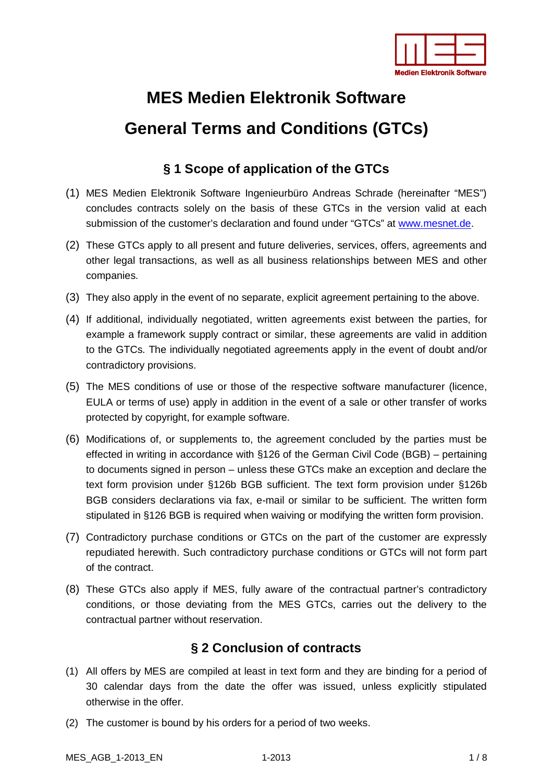

### **§ 1 Scope of application of the GTCs**

- (1) MES Medien Elektronik Software Ingenieurbüro Andreas Schrade (hereinafter "MES") concludes contracts solely on the basis of these GTCs in the version valid at each submission of the customer's declaration and found under "GTCs" at [www.mesnet.de.](http://www.mesnet.de/)
- (2) These GTCs apply to all present and future deliveries, services, offers, agreements and other legal transactions, as well as all business relationships between MES and other companies.
- (3) They also apply in the event of no separate, explicit agreement pertaining to the above.
- (4) If additional, individually negotiated, written agreements exist between the parties, for example a framework supply contract or similar, these agreements are valid in addition to the GTCs. The individually negotiated agreements apply in the event of doubt and/or contradictory provisions.
- (5) The MES conditions of use or those of the respective software manufacturer (licence, EULA or terms of use) apply in addition in the event of a sale or other transfer of works protected by copyright, for example software.
- (6) Modifications of, or supplements to, the agreement concluded by the parties must be effected in writing in accordance with §126 of the German Civil Code (BGB) – pertaining to documents signed in person – unless these GTCs make an exception and declare the text form provision under §126b BGB sufficient. The text form provision under §126b BGB considers declarations via fax, e-mail or similar to be sufficient. The written form stipulated in §126 BGB is required when waiving or modifying the written form provision.
- (7) Contradictory purchase conditions or GTCs on the part of the customer are expressly repudiated herewith. Such contradictory purchase conditions or GTCs will not form part of the contract.
- (8) These GTCs also apply if MES, fully aware of the contractual partner's contradictory conditions, or those deviating from the MES GTCs, carries out the delivery to the contractual partner without reservation.

### **§ 2 Conclusion of contracts**

- (1) All offers by MES are compiled at least in text form and they are binding for a period of 30 calendar days from the date the offer was issued, unless explicitly stipulated otherwise in the offer.
- (2) The customer is bound by his orders for a period of two weeks.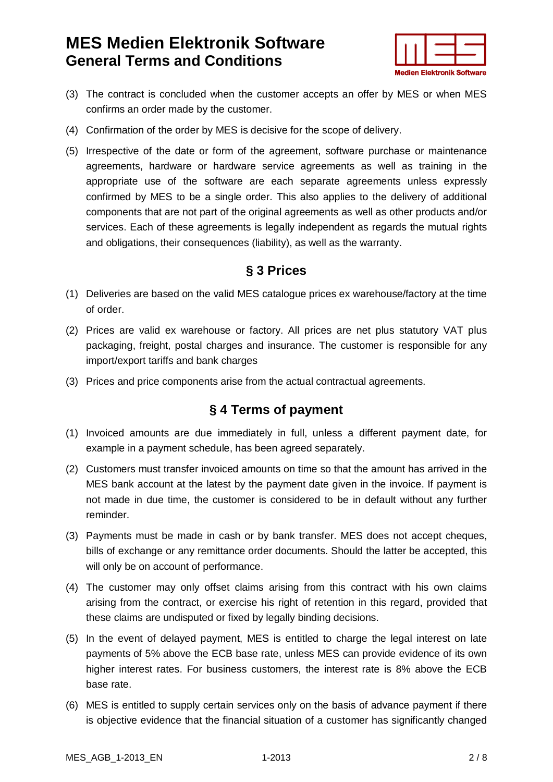

- (3) The contract is concluded when the customer accepts an offer by MES or when MES confirms an order made by the customer.
- (4) Confirmation of the order by MES is decisive for the scope of delivery.
- (5) Irrespective of the date or form of the agreement, software purchase or maintenance agreements, hardware or hardware service agreements as well as training in the appropriate use of the software are each separate agreements unless expressly confirmed by MES to be a single order. This also applies to the delivery of additional components that are not part of the original agreements as well as other products and/or services. Each of these agreements is legally independent as regards the mutual rights and obligations, their consequences (liability), as well as the warranty.

#### **§ 3 Prices**

- (1) Deliveries are based on the valid MES catalogue prices ex warehouse/factory at the time of order.
- (2) Prices are valid ex warehouse or factory. All prices are net plus statutory VAT plus packaging, freight, postal charges and insurance. The customer is responsible for any import/export tariffs and bank charges
- (3) Prices and price components arise from the actual contractual agreements.

#### **§ 4 Terms of payment**

- (1) Invoiced amounts are due immediately in full, unless a different payment date, for example in a payment schedule, has been agreed separately.
- (2) Customers must transfer invoiced amounts on time so that the amount has arrived in the MES bank account at the latest by the payment date given in the invoice. If payment is not made in due time, the customer is considered to be in default without any further reminder.
- (3) Payments must be made in cash or by bank transfer. MES does not accept cheques, bills of exchange or any remittance order documents. Should the latter be accepted, this will only be on account of performance.
- (4) The customer may only offset claims arising from this contract with his own claims arising from the contract, or exercise his right of retention in this regard, provided that these claims are undisputed or fixed by legally binding decisions.
- (5) In the event of delayed payment, MES is entitled to charge the legal interest on late payments of 5% above the ECB base rate, unless MES can provide evidence of its own higher interest rates. For business customers, the interest rate is 8% above the ECB base rate.
- (6) MES is entitled to supply certain services only on the basis of advance payment if there is objective evidence that the financial situation of a customer has significantly changed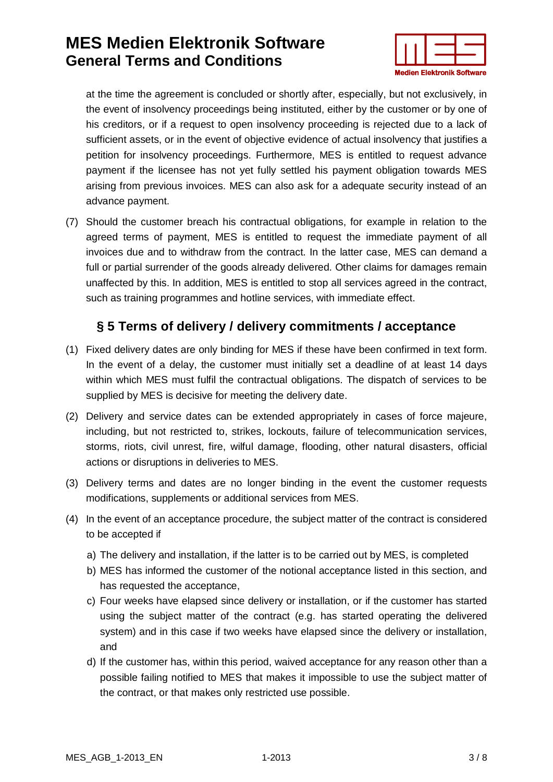

at the time the agreement is concluded or shortly after, especially, but not exclusively, in the event of insolvency proceedings being instituted, either by the customer or by one of his creditors, or if a request to open insolvency proceeding is rejected due to a lack of sufficient assets, or in the event of objective evidence of actual insolvency that justifies a petition for insolvency proceedings. Furthermore, MES is entitled to request advance payment if the licensee has not yet fully settled his payment obligation towards MES arising from previous invoices. MES can also ask for a adequate security instead of an advance payment.

(7) Should the customer breach his contractual obligations, for example in relation to the agreed terms of payment, MES is entitled to request the immediate payment of all invoices due and to withdraw from the contract. In the latter case, MES can demand a full or partial surrender of the goods already delivered. Other claims for damages remain unaffected by this. In addition, MES is entitled to stop all services agreed in the contract, such as training programmes and hotline services, with immediate effect.

#### **§ 5 Terms of delivery / delivery commitments / acceptance**

- (1) Fixed delivery dates are only binding for MES if these have been confirmed in text form. In the event of a delay, the customer must initially set a deadline of at least 14 days within which MES must fulfil the contractual obligations. The dispatch of services to be supplied by MES is decisive for meeting the delivery date.
- (2) Delivery and service dates can be extended appropriately in cases of force majeure, including, but not restricted to, strikes, lockouts, failure of telecommunication services, storms, riots, civil unrest, fire, wilful damage, flooding, other natural disasters, official actions or disruptions in deliveries to MES.
- (3) Delivery terms and dates are no longer binding in the event the customer requests modifications, supplements or additional services from MES.
- (4) In the event of an acceptance procedure, the subject matter of the contract is considered to be accepted if
	- a) The delivery and installation, if the latter is to be carried out by MES, is completed
	- b) MES has informed the customer of the notional acceptance listed in this section, and has requested the acceptance,
	- c) Four weeks have elapsed since delivery or installation, or if the customer has started using the subject matter of the contract (e.g. has started operating the delivered system) and in this case if two weeks have elapsed since the delivery or installation, and
	- d) If the customer has, within this period, waived acceptance for any reason other than a possible failing notified to MES that makes it impossible to use the subject matter of the contract, or that makes only restricted use possible.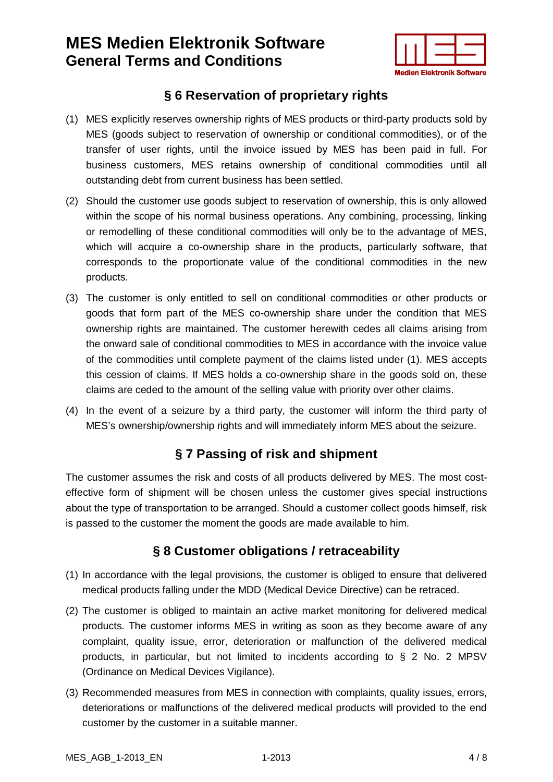

#### **§ 6 Reservation of proprietary rights**

- (1) MES explicitly reserves ownership rights of MES products or third-party products sold by MES (goods subject to reservation of ownership or conditional commodities), or of the transfer of user rights, until the invoice issued by MES has been paid in full. For business customers, MES retains ownership of conditional commodities until all outstanding debt from current business has been settled.
- (2) Should the customer use goods subject to reservation of ownership, this is only allowed within the scope of his normal business operations. Any combining, processing, linking or remodelling of these conditional commodities will only be to the advantage of MES, which will acquire a co-ownership share in the products, particularly software, that corresponds to the proportionate value of the conditional commodities in the new products.
- (3) The customer is only entitled to sell on conditional commodities or other products or goods that form part of the MES co-ownership share under the condition that MES ownership rights are maintained. The customer herewith cedes all claims arising from the onward sale of conditional commodities to MES in accordance with the invoice value of the commodities until complete payment of the claims listed under (1). MES accepts this cession of claims. If MES holds a co-ownership share in the goods sold on, these claims are ceded to the amount of the selling value with priority over other claims.
- (4) In the event of a seizure by a third party, the customer will inform the third party of MES's ownership/ownership rights and will immediately inform MES about the seizure.

#### **§ 7 Passing of risk and shipment**

The customer assumes the risk and costs of all products delivered by MES. The most costeffective form of shipment will be chosen unless the customer gives special instructions about the type of transportation to be arranged. Should a customer collect goods himself, risk is passed to the customer the moment the goods are made available to him.

### **§ 8 Customer obligations / retraceability**

- (1) In accordance with the legal provisions, the customer is obliged to ensure that delivered medical products falling under the MDD (Medical Device Directive) can be retraced.
- (2) The customer is obliged to maintain an active market monitoring for delivered medical products. The customer informs MES in writing as soon as they become aware of any complaint, quality issue, error, deterioration or malfunction of the delivered medical products, in particular, but not limited to incidents according to § 2 No. 2 MPSV [\(Ordinance on Medical Devices Vigilance\)](http://bundesrecht.juris.de/mpsv/index.html).
- (3) Recommended measures from MES in connection with complaints, quality issues, errors, deteriorations or malfunctions of the delivered medical products will provided to the end customer by the customer in a suitable manner.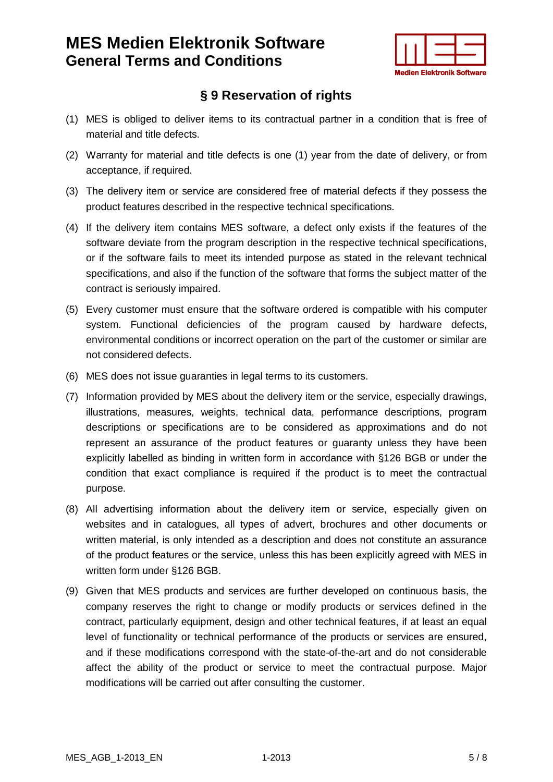

### **§ 9 Reservation of rights**

- (1) MES is obliged to deliver items to its contractual partner in a condition that is free of material and title defects.
- (2) Warranty for material and title defects is one (1) year from the date of delivery, or from acceptance, if required.
- (3) The delivery item or service are considered free of material defects if they possess the product features described in the respective technical specifications.
- (4) If the delivery item contains MES software, a defect only exists if the features of the software deviate from the program description in the respective technical specifications, or if the software fails to meet its intended purpose as stated in the relevant technical specifications, and also if the function of the software that forms the subject matter of the contract is seriously impaired.
- (5) Every customer must ensure that the software ordered is compatible with his computer system. Functional deficiencies of the program caused by hardware defects, environmental conditions or incorrect operation on the part of the customer or similar are not considered defects.
- (6) MES does not issue guaranties in legal terms to its customers.
- (7) Information provided by MES about the delivery item or the service, especially drawings, illustrations, measures, weights, technical data, performance descriptions, program descriptions or specifications are to be considered as approximations and do not represent an assurance of the product features or guaranty unless they have been explicitly labelled as binding in written form in accordance with §126 BGB or under the condition that exact compliance is required if the product is to meet the contractual purpose.
- (8) All advertising information about the delivery item or service, especially given on websites and in catalogues, all types of advert, brochures and other documents or written material, is only intended as a description and does not constitute an assurance of the product features or the service, unless this has been explicitly agreed with MES in written form under §126 BGB.
- (9) Given that MES products and services are further developed on continuous basis, the company reserves the right to change or modify products or services defined in the contract, particularly equipment, design and other technical features, if at least an equal level of functionality or technical performance of the products or services are ensured, and if these modifications correspond with the state-of-the-art and do not considerable affect the ability of the product or service to meet the contractual purpose. Major modifications will be carried out after consulting the customer.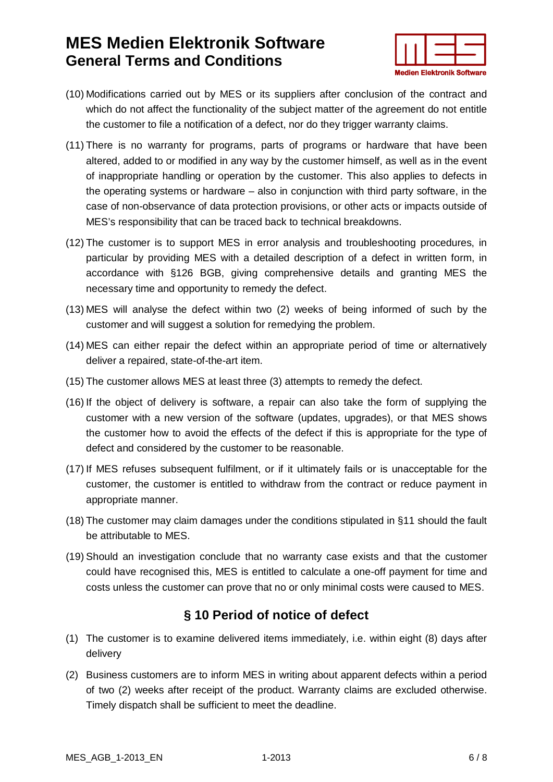

- (10) Modifications carried out by MES or its suppliers after conclusion of the contract and which do not affect the functionality of the subject matter of the agreement do not entitle the customer to file a notification of a defect, nor do they trigger warranty claims.
- (11) There is no warranty for programs, parts of programs or hardware that have been altered, added to or modified in any way by the customer himself, as well as in the event of inappropriate handling or operation by the customer. This also applies to defects in the operating systems or hardware – also in conjunction with third party software, in the case of non-observance of data protection provisions, or other acts or impacts outside of MES's responsibility that can be traced back to technical breakdowns.
- (12) The customer is to support MES in error analysis and troubleshooting procedures, in particular by providing MES with a detailed description of a defect in written form, in accordance with §126 BGB, giving comprehensive details and granting MES the necessary time and opportunity to remedy the defect.
- (13) MES will analyse the defect within two (2) weeks of being informed of such by the customer and will suggest a solution for remedying the problem.
- (14) MES can either repair the defect within an appropriate period of time or alternatively deliver a repaired, state-of-the-art item.
- (15) The customer allows MES at least three (3) attempts to remedy the defect.
- (16) If the object of delivery is software, a repair can also take the form of supplying the customer with a new version of the software (updates, upgrades), or that MES shows the customer how to avoid the effects of the defect if this is appropriate for the type of defect and considered by the customer to be reasonable.
- (17) If MES refuses subsequent fulfilment, or if it ultimately fails or is unacceptable for the customer, the customer is entitled to withdraw from the contract or reduce payment in appropriate manner.
- (18) The customer may claim damages under the conditions stipulated in §11 should the fault be attributable to MES.
- (19) Should an investigation conclude that no warranty case exists and that the customer could have recognised this, MES is entitled to calculate a one-off payment for time and costs unless the customer can prove that no or only minimal costs were caused to MES.

### **§ 10 Period of notice of defect**

- (1) The customer is to examine delivered items immediately, i.e. within eight (8) days after delivery
- (2) Business customers are to inform MES in writing about apparent defects within a period of two (2) weeks after receipt of the product. Warranty claims are excluded otherwise. Timely dispatch shall be sufficient to meet the deadline.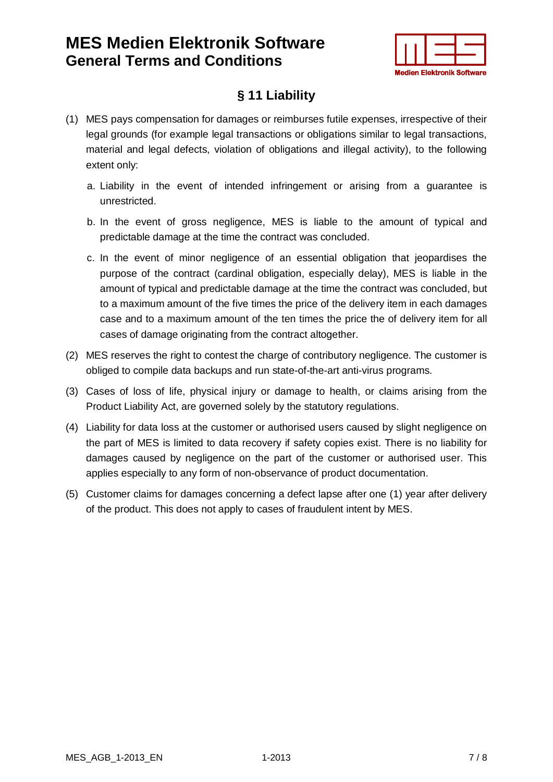

### **§ 11 Liability**

- (1) MES pays compensation for damages or reimburses futile expenses, irrespective of their legal grounds (for example legal transactions or obligations similar to legal transactions, material and legal defects, violation of obligations and illegal activity), to the following extent only:
	- a. Liability in the event of intended infringement or arising from a guarantee is unrestricted.
	- b. In the event of gross negligence, MES is liable to the amount of typical and predictable damage at the time the contract was concluded.
	- c. In the event of minor negligence of an essential obligation that jeopardises the purpose of the contract (cardinal obligation, especially delay), MES is liable in the amount of typical and predictable damage at the time the contract was concluded, but to a maximum amount of the five times the price of the delivery item in each damages case and to a maximum amount of the ten times the price the of delivery item for all cases of damage originating from the contract altogether.
- (2) MES reserves the right to contest the charge of contributory negligence. The customer is obliged to compile data backups and run state-of-the-art anti-virus programs.
- (3) Cases of loss of life, physical injury or damage to health, or claims arising from the Product Liability Act, are governed solely by the statutory regulations.
- (4) Liability for data loss at the customer or authorised users caused by slight negligence on the part of MES is limited to data recovery if safety copies exist. There is no liability for damages caused by negligence on the part of the customer or authorised user. This applies especially to any form of non-observance of product documentation.
- (5) Customer claims for damages concerning a defect lapse after one (1) year after delivery of the product. This does not apply to cases of fraudulent intent by MES.